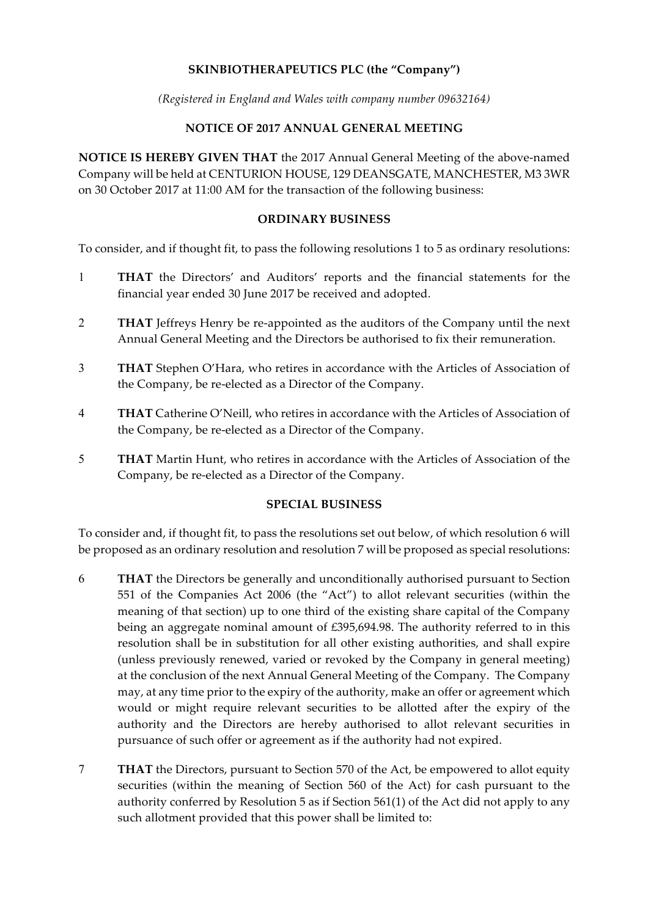# **SKINBIOTHERAPEUTICS PLC (the "Company")**

*(Registered in England and Wales with company number 09632164)*

## **NOTICE OF 2017 ANNUAL GENERAL MEETING**

**NOTICE IS HEREBY GIVEN THAT** the 2017 Annual General Meeting of the above-named Company will be held at CENTURION HOUSE, 129 DEANSGATE, MANCHESTER, M3 3WR on 30 October 2017 at 11:00 AM for the transaction of the following business:

#### **ORDINARY BUSINESS**

To consider, and if thought fit, to pass the following resolutions 1 to 5 as ordinary resolutions:

- 1 **THAT** the Directors' and Auditors' reports and the financial statements for the financial year ended 30 June 2017 be received and adopted.
- 2 **THAT** Jeffreys Henry be re-appointed as the auditors of the Company until the next Annual General Meeting and the Directors be authorised to fix their remuneration.
- 3 **THAT** Stephen O'Hara, who retires in accordance with the Articles of Association of the Company, be re-elected as a Director of the Company.
- 4 **THAT** Catherine O'Neill, who retires in accordance with the Articles of Association of the Company, be re-elected as a Director of the Company.
- 5 **THAT** Martin Hunt, who retires in accordance with the Articles of Association of the Company, be re-elected as a Director of the Company.

## **SPECIAL BUSINESS**

To consider and, if thought fit, to pass the resolutions set out below, of which resolution 6 will be proposed as an ordinary resolution and resolution 7 will be proposed as special resolutions:

- 6 **THAT** the Directors be generally and unconditionally authorised pursuant to Section 551 of the Companies Act 2006 (the "Act") to allot relevant securities (within the meaning of that section) up to one third of the existing share capital of the Company being an aggregate nominal amount of £395,694.98. The authority referred to in this resolution shall be in substitution for all other existing authorities, and shall expire (unless previously renewed, varied or revoked by the Company in general meeting) at the conclusion of the next Annual General Meeting of the Company. The Company may, at any time prior to the expiry of the authority, make an offer or agreement which would or might require relevant securities to be allotted after the expiry of the authority and the Directors are hereby authorised to allot relevant securities in pursuance of such offer or agreement as if the authority had not expired.
- 7 **THAT** the Directors, pursuant to Section 570 of the Act, be empowered to allot equity securities (within the meaning of Section 560 of the Act) for cash pursuant to the authority conferred by Resolution 5 as if Section 561(1) of the Act did not apply to any such allotment provided that this power shall be limited to: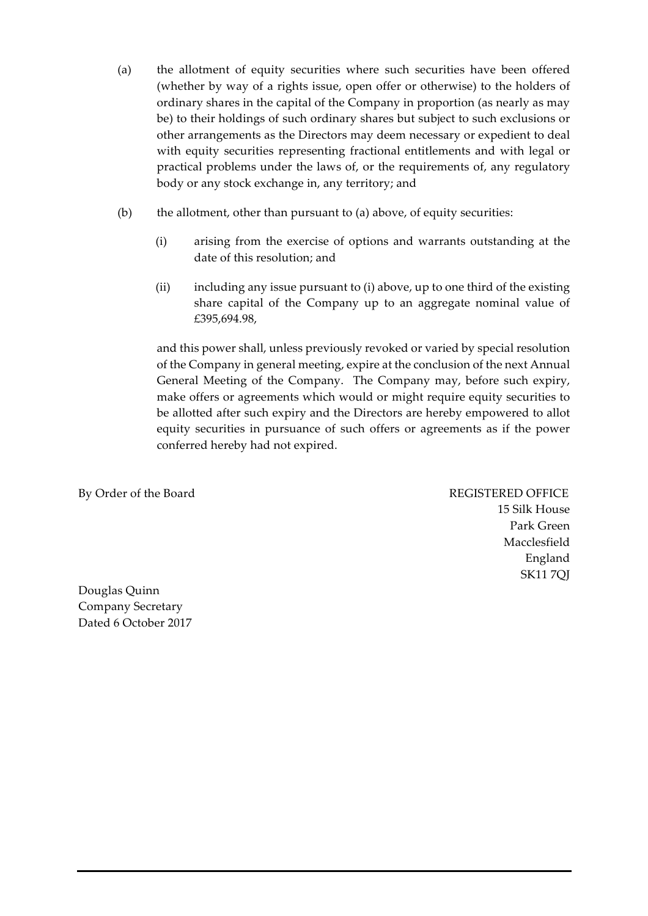- (a) the allotment of equity securities where such securities have been offered (whether by way of a rights issue, open offer or otherwise) to the holders of ordinary shares in the capital of the Company in proportion (as nearly as may be) to their holdings of such ordinary shares but subject to such exclusions or other arrangements as the Directors may deem necessary or expedient to deal with equity securities representing fractional entitlements and with legal or practical problems under the laws of, or the requirements of, any regulatory body or any stock exchange in, any territory; and
- (b) the allotment, other than pursuant to (a) above, of equity securities:
	- (i) arising from the exercise of options and warrants outstanding at the date of this resolution; and
	- (ii) including any issue pursuant to (i) above, up to one third of the existing share capital of the Company up to an aggregate nominal value of £395,694.98,

and this power shall, unless previously revoked or varied by special resolution of the Company in general meeting, expire at the conclusion of the next Annual General Meeting of the Company. The Company may, before such expiry, make offers or agreements which would or might require equity securities to be allotted after such expiry and the Directors are hereby empowered to allot equity securities in pursuance of such offers or agreements as if the power conferred hereby had not expired.

By Order of the Board REGISTERED OFFICE

15 Silk House Park Green Macclesfield England SK11 7QJ

Douglas Quinn Company Secretary Dated 6 October 2017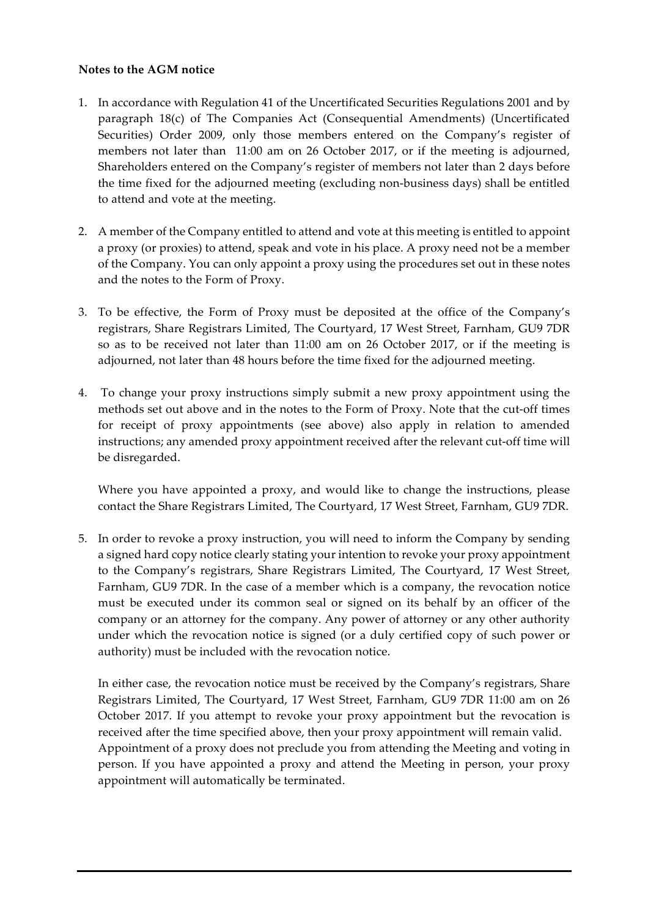## **Notes to the AGM notice**

- 1. In accordance with Regulation 41 of the Uncertificated Securities Regulations 2001 and by paragraph 18(c) of The Companies Act (Consequential Amendments) (Uncertificated Securities) Order 2009, only those members entered on the Company's register of members not later than 11:00 am on 26 October 2017, or if the meeting is adjourned, Shareholders entered on the Company's register of members not later than 2 days before the time fixed for the adjourned meeting (excluding non-business days) shall be entitled to attend and vote at the meeting.
- 2. A member of the Company entitled to attend and vote at this meeting is entitled to appoint a proxy (or proxies) to attend, speak and vote in his place. A proxy need not be a member of the Company. You can only appoint a proxy using the procedures set out in these notes and the notes to the Form of Proxy.
- 3. To be effective, the Form of Proxy must be deposited at the office of the Company's registrars, Share Registrars Limited, The Courtyard, 17 West Street, Farnham, GU9 7DR so as to be received not later than 11:00 am on 26 October 2017, or if the meeting is adjourned, not later than 48 hours before the time fixed for the adjourned meeting.
- 4. To change your proxy instructions simply submit a new proxy appointment using the methods set out above and in the notes to the Form of Proxy. Note that the cut-off times for receipt of proxy appointments (see above) also apply in relation to amended instructions; any amended proxy appointment received after the relevant cut-off time will be disregarded.

Where you have appointed a proxy, and would like to change the instructions, please contact the Share Registrars Limited, The Courtyard, 17 West Street, Farnham, GU9 7DR.

5. In order to revoke a proxy instruction, you will need to inform the Company by sending a signed hard copy notice clearly stating your intention to revoke your proxy appointment to the Company's registrars, Share Registrars Limited, The Courtyard, 17 West Street, Farnham, GU9 7DR. In the case of a member which is a company, the revocation notice must be executed under its common seal or signed on its behalf by an officer of the company or an attorney for the company. Any power of attorney or any other authority under which the revocation notice is signed (or a duly certified copy of such power or authority) must be included with the revocation notice.

In either case, the revocation notice must be received by the Company's registrars, Share Registrars Limited, The Courtyard, 17 West Street, Farnham, GU9 7DR 11:00 am on 26 October 2017. If you attempt to revoke your proxy appointment but the revocation is received after the time specified above, then your proxy appointment will remain valid. Appointment of a proxy does not preclude you from attending the Meeting and voting in person. If you have appointed a proxy and attend the Meeting in person, your proxy appointment will automatically be terminated.